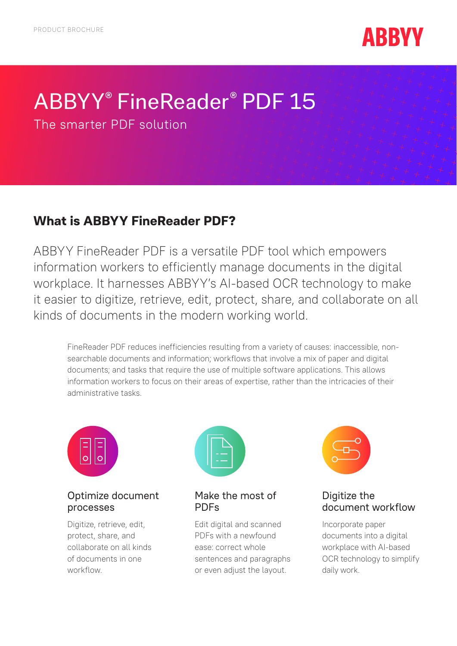

# ABBYY® FineReader® PDF 15

The smarter PDF solution

### **What is ABBYY FineReader PDF?**

ABBYY FineReader PDF is a versatile PDF tool which empowers information workers to efficiently manage documents in the digital workplace. It harnesses ABBYY's AI-based OCR technology to make it easier to digitize, retrieve, edit, protect, share, and collaborate on all kinds of documents in the modern working world.

FineReader PDF reduces inefficiencies resulting from a variety of causes: inaccessible, nonsearchable documents and information; workflows that involve a mix of paper and digital documents; and tasks that require the use of multiple software applications. This allows information workers to focus on their areas of expertise, rather than the intricacies of their administrative tasks.



#### Optimize document processes

Digitize, retrieve, edit, protect, share, and collaborate on all kinds of documents in one workflow.



Make the most of PDFs

Edit digital and scanned PDFs with a newfound ease: correct whole sentences and paragraphs or even adjust the layout.



#### Digitize the document workflow

Incorporate paper documents into a digital workplace with AI-based OCR technology to simplify daily work.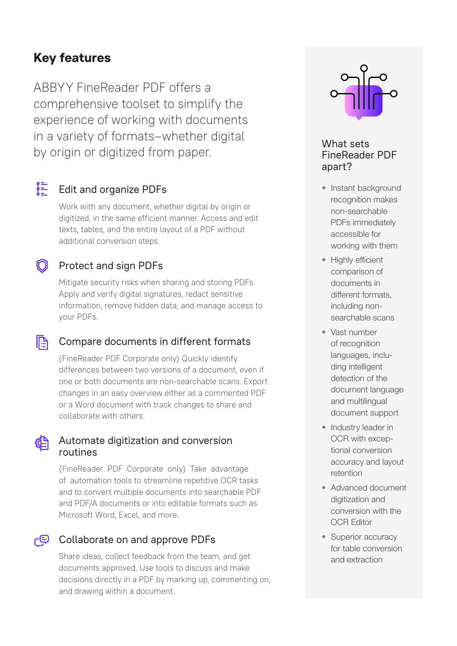### **Key features**

ABBYY FineReader PDF offers a comprehensive toolset to simplify the experience of working with documents in a variety of formats–whether digital by origin or digitized from paper.

### $\frac{2}{1}$  Edit and organize PDFs

∩

 $\mathbb{R}$ 

Work with any document, whether digital by origin or digitized, in the same efficient manner. Access and edit texts, tables, and the entire layout of a PDF without additional conversion steps.

### Protect and sign PDFs

Mitigate security risks when sharing and storing PDFs. Apply and verify digital signatures, redact sensitive information, remove hidden data, and manage access to your PDFs.

### Compare documents in different formats

(FineReader PDF Corporate only) Quickly identify differences between two versions of a document, even if one or both documents are non-searchable scans. Export changes in an easy overview either as a commented PDF or a Word document with track changes to share and collaborate with others.

#### **E** Automate digitization and conversion routines

(FineReader PDF Corporate only) Take advantage of automation tools to streamline repetitive OCR tasks and to convert multiple documents into searchable PDF and PDF/A documents or into editable formats such as Microsoft Word, Excel, and more.

#### ட் Collaborate on and approve PDFs

Share ideas, collect feedback from the team, and get documents approved. Use tools to discuss and make decisions directly in a PDF by marking up, commenting on, and drawing within a document.



#### What sets FineReader PDF apart?

- Instant background recognition makes non-searchable PDFs immediately accessible for working with them
- Highly efficient comparison of documents in different formats, including nonsearchable scans
- Vast number of recognition languages, including intelligent detection of the document language and multilingual document support
- Industry leader in OCR with exceptional conversion accuracy and layout retention
- Advanced document digitization and conversion with the OCR Editor
- Superior accuracy for table conversion and extraction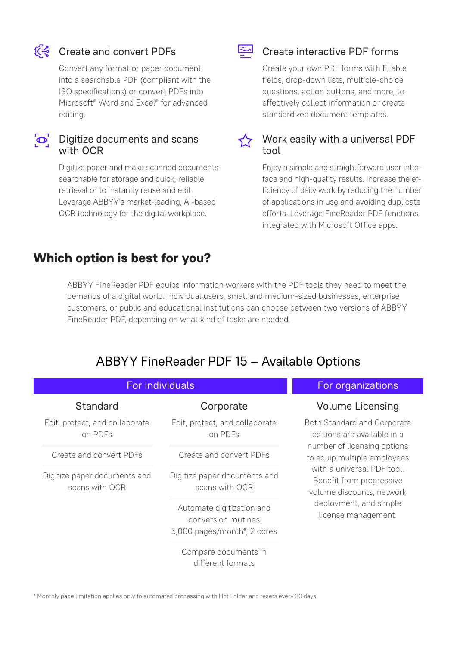

### C<<<br />
Create and convert PDFs

Convert any format or paper document into a searchable PDF (compliant with the ISO specifications) or convert PDFs into Microsoft® Word and Excel® for advanced editing.

 $\infty$ 

#### Digitize documents and scans with OCR

Digitize paper and make scanned documents searchable for storage and quick, reliable retrieval or to instantly reuse and edit. Leverage ABBYY's market-leading, AI-based OCR technology for the digital workplace.

### **Which option is best for you?**

#### Create interactive PDF forms

Create your own PDF forms with fillable fields, drop-down lists, multiple-choice questions, action buttons, and more, to effectively collect information or create standardized document templates.

 $\sqrt{2}$  Work easily with a universal PDF tool

> Enjoy a simple and straightforward user interface and high-quality results. Increase the efficiency of daily work by reducing the number of applications in use and avoiding duplicate efforts. Leverage FineReader PDF functions integrated with Microsoft Office apps.

ABBYY FineReader PDF equips information workers with the PDF tools they need to meet the demands of a digital world. Individual users, small and medium-sized businesses, enterprise customers, or public and educational institutions can choose between two versions of ABBYY FineReader PDF, depending on what kind of tasks are needed.

 $\frac{1}{2}$ 

### ABBYY FineReader PDF 15 – Available Options

| For individuals                                |                                                                                 | For organizations                                                                                                                                                                                                                                                |
|------------------------------------------------|---------------------------------------------------------------------------------|------------------------------------------------------------------------------------------------------------------------------------------------------------------------------------------------------------------------------------------------------------------|
| Standard                                       | Corporate                                                                       | <b>Volume Licensing</b>                                                                                                                                                                                                                                          |
| Edit, protect, and collaborate<br>on PDFs      | Edit, protect, and collaborate<br>on PDFs                                       | Both Standard and Corporate<br>editions are available in a<br>number of licensing options<br>to equip multiple employees<br>with a universal PDF tool.<br>Benefit from progressive<br>volume discounts, network<br>deployment, and simple<br>license management. |
| Create and convert PDFs                        | Create and convert PDFs                                                         |                                                                                                                                                                                                                                                                  |
| Digitize paper documents and<br>scans with OCR | Digitize paper documents and<br>scans with OCR                                  |                                                                                                                                                                                                                                                                  |
|                                                | Automate digitization and<br>conversion routines<br>5,000 pages/month*, 2 cores |                                                                                                                                                                                                                                                                  |
|                                                | Compare documents in<br>different formats                                       |                                                                                                                                                                                                                                                                  |

\* Monthly page limitation applies only to automated processing with Hot Folder and resets every 30 days.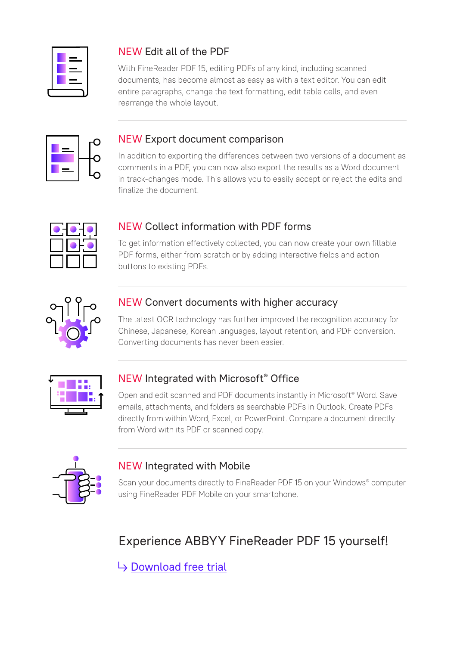### NEW Edit all of the PDF

With FineReader PDF 15, editing PDFs of any kind, including scanned documents, has become almost as easy as with a text editor. You can edit entire paragraphs, change the text formatting, edit table cells, and even rearrange the whole layout.



#### NEW Export document comparison

In addition to exporting the differences between two versions of a document as comments in a PDF, you can now also export the results as a Word document in track-changes mode. This allows you to easily accept or reject the edits and finalize the document.



### NEW Collect information with PDF forms

To get information effectively collected, you can now create your own fillable PDF forms, either from scratch or by adding interactive fields and action buttons to existing PDFs.



### NEW Convert documents with higher accuracy

The latest OCR technology has further improved the recognition accuracy for Chinese, Japanese, Korean languages, layout retention, and PDF conversion. Converting documents has never been easier.



### NEW Integrated with Microsoft® Office

Open and edit scanned and PDF documents instantly in Microsoft<sup>®</sup> Word. Save emails, attachments, and folders as searchable PDFs in Outlook. Create PDFs directly from within Word, Excel, or PowerPoint. Compare a document directly from Word with its PDF or scanned copy.



### NEW Integrated with Mobile

Scan your documents directly to FineReader PDF 15 on your Windows® computer using FineReader PDF Mobile on your smartphone.

## Experience ABBYY FineReader PDF 15 yourself!

 $\rightarrow$  [Download free trial](https://pdf.abbyy.com/finereader-pdf/trial/?utm_source=asset&utm_medium=pdf&utm_campaign=finereader-pdf-product-brochure&utm_content=en)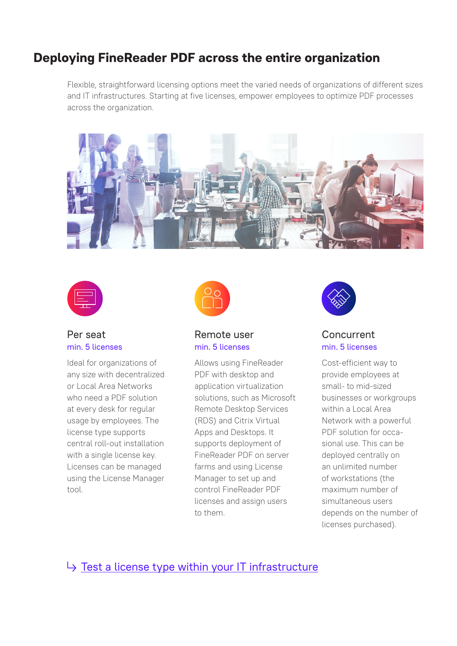### **Deploying FineReader PDF across the entire organization**

Flexible, straightforward licensing options meet the varied needs of organizations of different sizes and IT infrastructures. Starting at five licenses, empower employees to optimize PDF processes across the organization.





#### Per seat min. 5 licenses

Ideal for organizations of any size with decentralized or Local Area Networks who need a PDF solution at every desk for regular usage by employees. The license type supports central roll-out installation with a single license key. Licenses can be managed using the License Manager tool.



#### Remote user min. 5 licenses

Allows using FineReader PDF with desktop and application virtualization solutions, such as Microsoft Remote Desktop Services (RDS) and Citrix Virtual Apps and Desktops. It supports deployment of FineReader PDF on server farms and using License Manager to set up and control FineReader PDF licenses and assign users to them.



#### Concurrent min. 5 licenses

Cost-efficient way to provide employees at small- to mid-sized businesses or workgroups within a Local Area Network with a powerful PDF solution for occasional use. This can be deployed centrally on an unlimited number of workstations (the maximum number of simultaneous users depends on the number of licenses purchased).

### $\rightarrow$  [Test a license type within your IT infrastructure](https://pdf.abbyy.com/contact-us/?utm_source=asset&utm_medium=pdf&utm_campaign=finereader-pdf-product-brochure&utm_content=en&purpose=trial)